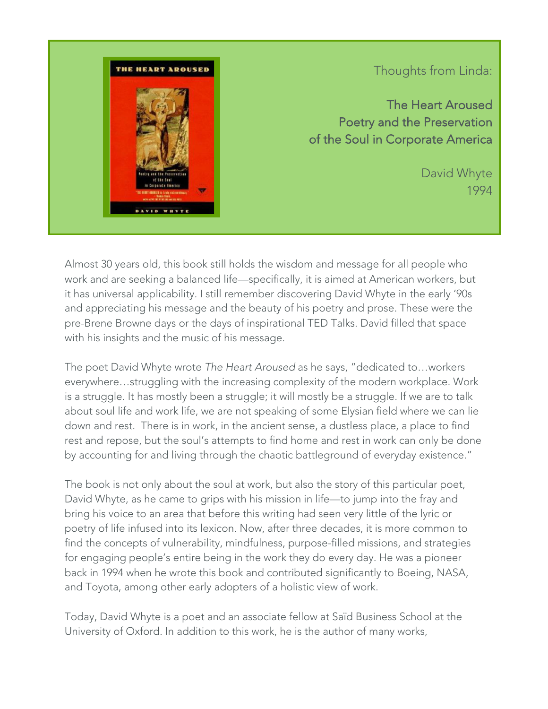

## Thoughts from Linda:

The Heart Aroused Poetry and the Preservation of the Soul in Corporate America

> David Whyte 1994

Almost 30 years old, this book still holds the wisdom and message for all people who work and are seeking a balanced life—specifically, it is aimed at American workers, but it has universal applicability. I still remember discovering David Whyte in the early '90s and appreciating his message and the beauty of his poetry and prose. These were the pre-Brene Browne days or the days of inspirational TED Talks. David filled that space with his insights and the music of his message.

The poet David Whyte wrote *The Heart Aroused* as he says, "dedicated to…workers everywhere…struggling with the increasing complexity of the modern workplace. Work is a struggle. It has mostly been a struggle; it will mostly be a struggle. If we are to talk about soul life and work life, we are not speaking of some Elysian field where we can lie down and rest. There is in work, in the ancient sense, a dustless place, a place to find rest and repose, but the soul's attempts to find home and rest in work can only be done by accounting for and living through the chaotic battleground of everyday existence."

The book is not only about the soul at work, but also the story of this particular poet, David Whyte, as he came to grips with his mission in life—to jump into the fray and bring his voice to an area that before this writing had seen very little of the lyric or poetry of life infused into its lexicon. Now, after three decades, it is more common to find the concepts of vulnerability, mindfulness, purpose-filled missions, and strategies for engaging people's entire being in the work they do every day. He was a pioneer back in 1994 when he wrote this book and contributed significantly to Boeing, NASA, and Toyota, among other early adopters of a holistic view of work.

Today, David Whyte is a poet and an associate fellow at Saïd Business School at the University of Oxford. In addition to this work, he is the author of many works,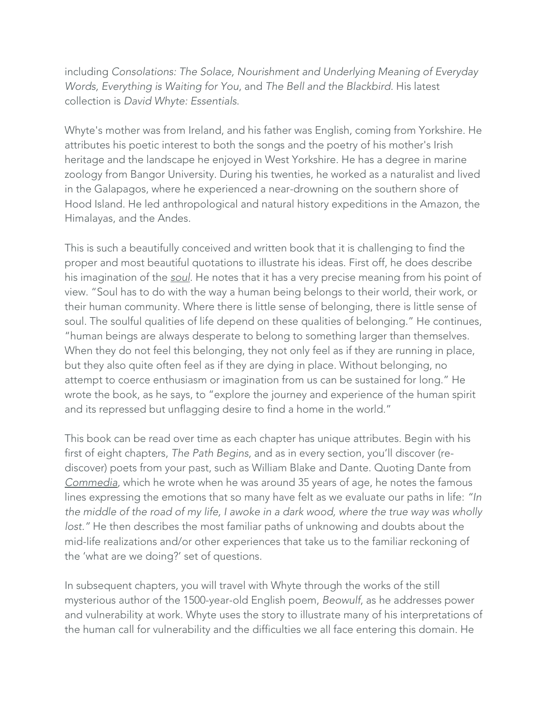including *Consolations: The Solace, Nourishment and Underlying Meaning of Everyday Words, Everything is Waiting for You*, and *The Bell and the Blackbird*. His latest collection is *David Whyte: Essentials*.

Whyte's mother was from Ireland, and his father was English, coming from Yorkshire. He attributes his poetic interest to both the songs and the poetry of his mother's Irish heritage and the landscape he enjoyed in West Yorkshire. He has a degree in marine zoology from Bangor University. During his twenties, he worked as a naturalist and lived in the Galapagos, where he experienced a near-drowning on the southern shore of Hood Island. He led anthropological and natural history expeditions in the Amazon, the Himalayas, and the Andes.

This is such a beautifully conceived and written book that it is challenging to find the proper and most beautiful quotations to illustrate his ideas. First off, he does describe his imagination of the *soul*. He notes that it has a very precise meaning from his point of view. "Soul has to do with the way a human being belongs to their world, their work, or their human community. Where there is little sense of belonging, there is little sense of soul. The soulful qualities of life depend on these qualities of belonging." He continues, "human beings are always desperate to belong to something larger than themselves. When they do not feel this belonging, they not only feel as if they are running in place, but they also quite often feel as if they are dying in place. Without belonging, no attempt to coerce enthusiasm or imagination from us can be sustained for long." He wrote the book, as he says, to "explore the journey and experience of the human spirit and its repressed but unflagging desire to find a home in the world."

This book can be read over time as each chapter has unique attributes. Begin with his first of eight chapters, *The Path Begins*, and as in every section, you'll discover (rediscover) poets from your past, such as William Blake and Dante. Quoting Dante from *Commedia*, which he wrote when he was around 35 years of age, he notes the famous lines expressing the emotions that so many have felt as we evaluate our paths in life: *"In the middle of the road of my life, I awoke in a dark wood, where the true way was wholly lost."* He then describes the most familiar paths of unknowing and doubts about the mid-life realizations and/or other experiences that take us to the familiar reckoning of the 'what are we doing?' set of questions.

In subsequent chapters, you will travel with Whyte through the works of the still mysterious author of the 1500-year-old English poem, *Beowulf*, as he addresses power and vulnerability at work. Whyte uses the story to illustrate many of his interpretations of the human call for vulnerability and the difficulties we all face entering this domain. He